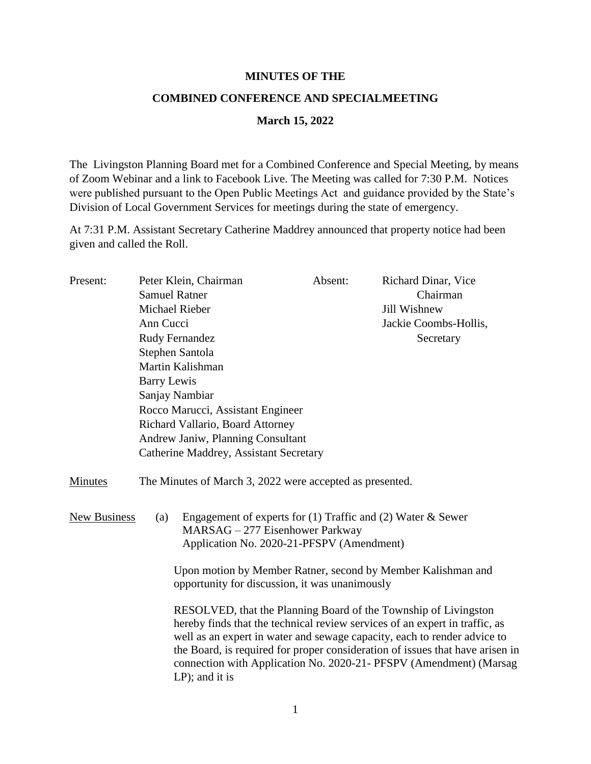## **MINUTES OF THE**

## **COMBINED CONFERENCE AND SPECIALMEETING**

## **March 15, 2022**

The Livingston Planning Board met for a Combined Conference and Special Meeting, by means of Zoom Webinar and a link to Facebook Live. The Meeting was called for 7:30 P.M. Notices were published pursuant to the Open Public Meetings Act and guidance provided by the State's Division of Local Government Services for meetings during the state of emergency.

At 7:31 P.M. Assistant Secretary Catherine Maddrey announced that property notice had been given and called the Roll.

| Present: | Peter Klein, Chairman<br><b>Samuel Ratner</b><br>Michael Rieber<br>Ann Cucci<br><b>Rudy Fernandez</b>                                                |                                                                                                                                                                                                                                                                                                                                                                                                        | Absent: | Richard Dinar, Vice                |                                        |                                                                                                                                                        |                                                |  |                                                              |
|----------|------------------------------------------------------------------------------------------------------------------------------------------------------|--------------------------------------------------------------------------------------------------------------------------------------------------------------------------------------------------------------------------------------------------------------------------------------------------------------------------------------------------------------------------------------------------------|---------|------------------------------------|----------------------------------------|--------------------------------------------------------------------------------------------------------------------------------------------------------|------------------------------------------------|--|--------------------------------------------------------------|
|          |                                                                                                                                                      |                                                                                                                                                                                                                                                                                                                                                                                                        |         | Chairman                           |                                        |                                                                                                                                                        |                                                |  |                                                              |
|          |                                                                                                                                                      |                                                                                                                                                                                                                                                                                                                                                                                                        |         | Jill Wishnew                       |                                        |                                                                                                                                                        |                                                |  |                                                              |
|          |                                                                                                                                                      |                                                                                                                                                                                                                                                                                                                                                                                                        |         | Jackie Coombs-Hollis,<br>Secretary |                                        |                                                                                                                                                        |                                                |  |                                                              |
|          |                                                                                                                                                      |                                                                                                                                                                                                                                                                                                                                                                                                        |         |                                    |                                        |                                                                                                                                                        |                                                |  |                                                              |
|          | Stephen Santola<br>Martin Kalishman<br><b>Barry Lewis</b><br>Sanjay Nambiar<br>Rocco Marucci, Assistant Engineer<br>Richard Vallario, Board Attorney |                                                                                                                                                                                                                                                                                                                                                                                                        |         |                                    |                                        |                                                                                                                                                        |                                                |  |                                                              |
|          |                                                                                                                                                      |                                                                                                                                                                                                                                                                                                                                                                                                        |         |                                    | Andrew Janiw, Planning Consultant      |                                                                                                                                                        |                                                |  |                                                              |
|          |                                                                                                                                                      |                                                                                                                                                                                                                                                                                                                                                                                                        |         |                                    | Catherine Maddrey, Assistant Secretary |                                                                                                                                                        |                                                |  |                                                              |
|          |                                                                                                                                                      |                                                                                                                                                                                                                                                                                                                                                                                                        |         |                                    | <b>Minutes</b>                         | The Minutes of March 3, 2022 were accepted as presented.                                                                                               |                                                |  |                                                              |
|          |                                                                                                                                                      |                                                                                                                                                                                                                                                                                                                                                                                                        |         |                                    | <b>New Business</b>                    | Engagement of experts for $(1)$ Traffic and $(2)$ Water & Sewer<br>(a)<br>MARSAG - 277 Eisenhower Parkway<br>Application No. 2020-21-PFSPV (Amendment) |                                                |  |                                                              |
|          |                                                                                                                                                      |                                                                                                                                                                                                                                                                                                                                                                                                        |         |                                    |                                        |                                                                                                                                                        | opportunity for discussion, it was unanimously |  | Upon motion by Member Ratner, second by Member Kalishman and |
|          |                                                                                                                                                      | RESOLVED, that the Planning Board of the Township of Livingston<br>hereby finds that the technical review services of an expert in traffic, as<br>well as an expert in water and sewage capacity, each to render advice to<br>the Board, is required for proper consideration of issues that have arisen in<br>connection with Application No. 2020-21- PFSPV (Amendment) (Marsag<br>$LP$ ); and it is |         |                                    |                                        |                                                                                                                                                        |                                                |  |                                                              |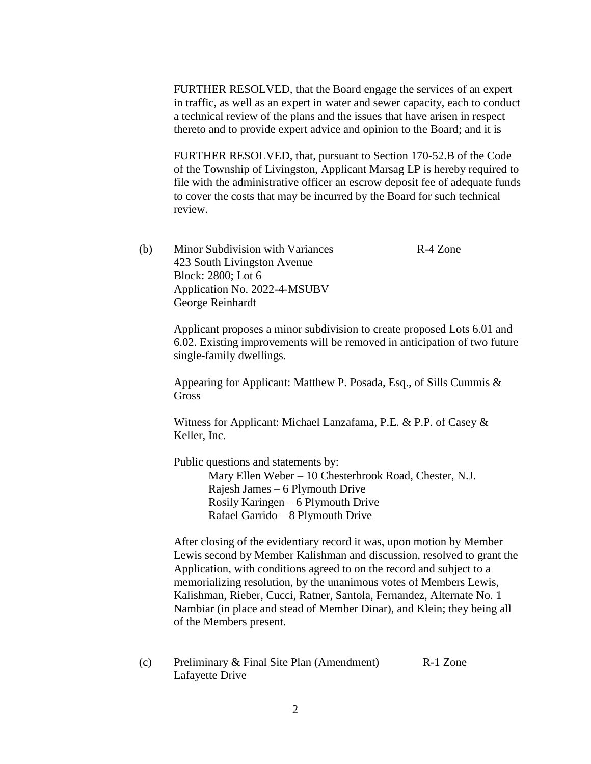FURTHER RESOLVED, that the Board engage the services of an expert in traffic, as well as an expert in water and sewer capacity, each to conduct a technical review of the plans and the issues that have arisen in respect thereto and to provide expert advice and opinion to the Board; and it is

FURTHER RESOLVED, that, pursuant to Section 170-52.B of the Code of the Township of Livingston, Applicant Marsag LP is hereby required to file with the administrative officer an escrow deposit fee of adequate funds to cover the costs that may be incurred by the Board for such technical review.

(b) Minor Subdivision with Variances R-4 Zone 423 South Livingston Avenue Block: 2800; Lot 6 Application No. 2022-4-MSUBV George Reinhardt

> Applicant proposes a minor subdivision to create proposed Lots 6.01 and 6.02. Existing improvements will be removed in anticipation of two future single-family dwellings.

Appearing for Applicant: Matthew P. Posada, Esq., of Sills Cummis & Gross

Witness for Applicant: Michael Lanzafama, P.E. & P.P. of Casey & Keller, Inc.

Public questions and statements by: Mary Ellen Weber – 10 Chesterbrook Road, Chester, N.J. Rajesh James – 6 Plymouth Drive Rosily Karingen – 6 Plymouth Drive Rafael Garrido – 8 Plymouth Drive

After closing of the evidentiary record it was, upon motion by Member Lewis second by Member Kalishman and discussion, resolved to grant the Application, with conditions agreed to on the record and subject to a memorializing resolution, by the unanimous votes of Members Lewis, Kalishman, Rieber, Cucci, Ratner, Santola, Fernandez, Alternate No. 1 Nambiar (in place and stead of Member Dinar), and Klein; they being all of the Members present.

(c) Preliminary & Final Site Plan (Amendment) R-1 Zone Lafayette Drive